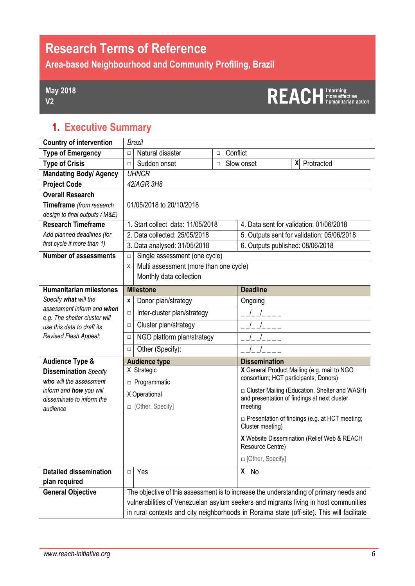# **Research Terms of Reference**

**Area-based Neighbourhood and Community Profiling, Brazil**

#### **May 2018 V2**

# REACH Informing

### **1. Executive Summary**

| <b>Country of intervention</b>                              |                          | <b>Brazil</b>                                                                              |        |            |                                                                           |                      |                                                                                                 |  |  |  |
|-------------------------------------------------------------|--------------------------|--------------------------------------------------------------------------------------------|--------|------------|---------------------------------------------------------------------------|----------------------|-------------------------------------------------------------------------------------------------|--|--|--|
| <b>Type of Emergency</b>                                    | $\Box$                   | Natural disaster                                                                           | □      | Conflict   |                                                                           |                      |                                                                                                 |  |  |  |
| <b>Type of Crisis</b>                                       | $\Box$                   | Sudden onset                                                                               | $\Box$ | Slow onset |                                                                           |                      | Protracted<br>χ                                                                                 |  |  |  |
| <b>Mandating Body/ Agency</b>                               |                          | <b>UHNCR</b>                                                                               |        |            |                                                                           |                      |                                                                                                 |  |  |  |
| <b>Project Code</b>                                         |                          | 42iAGR 3H8                                                                                 |        |            |                                                                           |                      |                                                                                                 |  |  |  |
| <b>Overall Research</b>                                     |                          |                                                                                            |        |            |                                                                           |                      |                                                                                                 |  |  |  |
| Timeframe (from research                                    |                          | 01/05/2018 to 20/10/2018                                                                   |        |            |                                                                           |                      |                                                                                                 |  |  |  |
| design to final outputs / M&E)                              |                          |                                                                                            |        |            |                                                                           |                      |                                                                                                 |  |  |  |
| <b>Research Timeframe</b>                                   |                          | 1. Start collect data: 11/05/2018                                                          |        |            |                                                                           |                      | 4. Data sent for validation: 01/06/2018                                                         |  |  |  |
| Add planned deadlines (for                                  |                          | 2. Data collected: 25/05/2018                                                              |        |            | 5. Outputs sent for validation: 05/06/2018                                |                      |                                                                                                 |  |  |  |
| first cycle if more than 1)                                 |                          | 3. Data analysed: 31/05/2018                                                               |        |            |                                                                           |                      | 6. Outputs published: 08/06/2018                                                                |  |  |  |
| <b>Number of assessments</b>                                | $\Box$                   | Single assessment (one cycle)                                                              |        |            |                                                                           |                      |                                                                                                 |  |  |  |
|                                                             | X                        | Multi assessment (more than one cycle)                                                     |        |            |                                                                           |                      |                                                                                                 |  |  |  |
|                                                             |                          | Monthly data collection                                                                    |        |            |                                                                           |                      |                                                                                                 |  |  |  |
| <b>Humanitarian milestones</b>                              |                          | <b>Milestone</b>                                                                           |        |            |                                                                           | <b>Deadline</b>      |                                                                                                 |  |  |  |
| Specify what will the                                       | Donor plan/strategy<br>X |                                                                                            |        |            | Ongoing                                                                   |                      |                                                                                                 |  |  |  |
| assessment inform and when                                  | $\Box$                   | Inter-cluster plan/strategy                                                                |        |            |                                                                           |                      |                                                                                                 |  |  |  |
| e.g. The shelter cluster will<br>use this data to draft its | $\Box$                   | Cluster plan/strategy                                                                      |        |            |                                                                           |                      |                                                                                                 |  |  |  |
| Revised Flash Appeal;                                       | $\Box$                   | NGO platform plan/strategy                                                                 |        |            |                                                                           |                      |                                                                                                 |  |  |  |
|                                                             | $\Box$                   | Other (Specify):                                                                           |        |            |                                                                           |                      |                                                                                                 |  |  |  |
| <b>Audience Type &amp;</b>                                  |                          | <b>Audience type</b>                                                                       |        |            |                                                                           | <b>Dissemination</b> |                                                                                                 |  |  |  |
| <b>Dissemination</b> Specify                                |                          | X Strategic                                                                                |        |            |                                                                           |                      | X General Product Mailing (e.g. mail to NGO<br>consortium; HCT participants; Donors)            |  |  |  |
| who will the assessment                                     |                          | n Programmatic                                                                             |        |            |                                                                           |                      |                                                                                                 |  |  |  |
| inform and how you will<br>disseminate to inform the        |                          | X Operational                                                                              |        |            |                                                                           |                      | □ Cluster Mailing (Education, Shelter and WASH)<br>and presentation of findings at next cluster |  |  |  |
| audience                                                    |                          | □ [Other, Specify]                                                                         |        |            |                                                                           | meeting              |                                                                                                 |  |  |  |
|                                                             |                          |                                                                                            |        |            | $\Box$ Presentation of findings (e.g. at HCT meeting;<br>Cluster meeting) |                      |                                                                                                 |  |  |  |
|                                                             |                          |                                                                                            |        |            |                                                                           | Resource Centre)     | X Website Dissemination (Relief Web & REACH                                                     |  |  |  |
|                                                             |                          |                                                                                            |        |            | □ [Other, Specify]                                                        |                      |                                                                                                 |  |  |  |
| <b>Detailed dissemination</b><br>plan required              | $\Box$                   | Yes                                                                                        |        |            | X                                                                         | No                   |                                                                                                 |  |  |  |
| <b>General Objective</b>                                    |                          | The objective of this assessment is to increase the understanding of primary needs and     |        |            |                                                                           |                      |                                                                                                 |  |  |  |
|                                                             |                          | vulnerabilities of Venezuelan asylum seekers and migrants living in host communities       |        |            |                                                                           |                      |                                                                                                 |  |  |  |
|                                                             |                          | in rural contexts and city neighborhoods in Roraima state (off-site). This will facilitate |        |            |                                                                           |                      |                                                                                                 |  |  |  |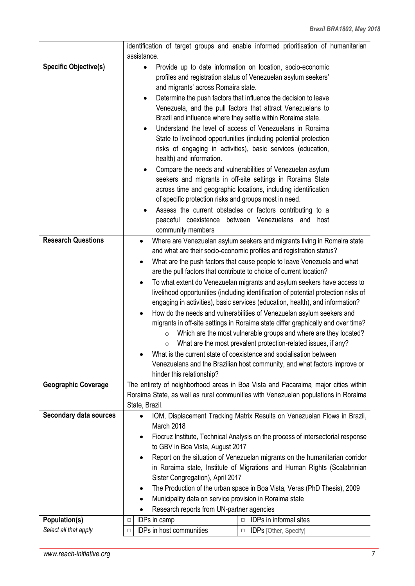|                               | identification of target groups and enable informed prioritisation of humanitarian                                                                                                                                                                                                                                                                                                                                                                                                                                                                                                                                                                                                                                                                                                                                                                                                                                                                                                                                         |  |  |  |  |  |
|-------------------------------|----------------------------------------------------------------------------------------------------------------------------------------------------------------------------------------------------------------------------------------------------------------------------------------------------------------------------------------------------------------------------------------------------------------------------------------------------------------------------------------------------------------------------------------------------------------------------------------------------------------------------------------------------------------------------------------------------------------------------------------------------------------------------------------------------------------------------------------------------------------------------------------------------------------------------------------------------------------------------------------------------------------------------|--|--|--|--|--|
|                               | assistance.                                                                                                                                                                                                                                                                                                                                                                                                                                                                                                                                                                                                                                                                                                                                                                                                                                                                                                                                                                                                                |  |  |  |  |  |
| <b>Specific Objective(s)</b>  | Provide up to date information on location, socio-economic<br>$\bullet$<br>profiles and registration status of Venezuelan asylum seekers'<br>and migrants' across Romaira state.<br>Determine the push factors that influence the decision to leave<br>$\bullet$<br>Venezuela, and the pull factors that attract Venezuelans to<br>Brazil and influence where they settle within Roraima state.<br>Understand the level of access of Venezuelans in Roraima<br>State to livelihood opportunities (including potential protection<br>risks of engaging in activities), basic services (education,<br>health) and information.<br>Compare the needs and vulnerabilities of Venezuelan asylum<br>seekers and migrants in off-site settings in Roraima State<br>across time and geographic locations, including identification<br>of specific protection risks and groups most in need.<br>Assess the current obstacles or factors contributing to a<br>peaceful coexistence between Venezuelans and host<br>community members |  |  |  |  |  |
| <b>Research Questions</b>     | Where are Venezuelan asylum seekers and migrants living in Romaira state                                                                                                                                                                                                                                                                                                                                                                                                                                                                                                                                                                                                                                                                                                                                                                                                                                                                                                                                                   |  |  |  |  |  |
|                               | and what are their socio-economic profiles and registration status?                                                                                                                                                                                                                                                                                                                                                                                                                                                                                                                                                                                                                                                                                                                                                                                                                                                                                                                                                        |  |  |  |  |  |
|                               | What are the push factors that cause people to leave Venezuela and what                                                                                                                                                                                                                                                                                                                                                                                                                                                                                                                                                                                                                                                                                                                                                                                                                                                                                                                                                    |  |  |  |  |  |
|                               | are the pull factors that contribute to choice of current location?                                                                                                                                                                                                                                                                                                                                                                                                                                                                                                                                                                                                                                                                                                                                                                                                                                                                                                                                                        |  |  |  |  |  |
|                               | To what extent do Venezuelan migrants and asylum seekers have access to<br>$\bullet$<br>livelihood opportunities (including identification of potential protection risks of                                                                                                                                                                                                                                                                                                                                                                                                                                                                                                                                                                                                                                                                                                                                                                                                                                                |  |  |  |  |  |
|                               | engaging in activities), basic services (education, health), and information?                                                                                                                                                                                                                                                                                                                                                                                                                                                                                                                                                                                                                                                                                                                                                                                                                                                                                                                                              |  |  |  |  |  |
|                               | How do the needs and vulnerabilities of Venezuelan asylum seekers and                                                                                                                                                                                                                                                                                                                                                                                                                                                                                                                                                                                                                                                                                                                                                                                                                                                                                                                                                      |  |  |  |  |  |
|                               | migrants in off-site settings in Roraima state differ graphically and over time?                                                                                                                                                                                                                                                                                                                                                                                                                                                                                                                                                                                                                                                                                                                                                                                                                                                                                                                                           |  |  |  |  |  |
|                               | Which are the most vulnerable groups and where are they located?<br>$\circ$                                                                                                                                                                                                                                                                                                                                                                                                                                                                                                                                                                                                                                                                                                                                                                                                                                                                                                                                                |  |  |  |  |  |
|                               | What are the most prevalent protection-related issues, if any?<br>$\circ$                                                                                                                                                                                                                                                                                                                                                                                                                                                                                                                                                                                                                                                                                                                                                                                                                                                                                                                                                  |  |  |  |  |  |
|                               | What is the current state of coexistence and socialisation between                                                                                                                                                                                                                                                                                                                                                                                                                                                                                                                                                                                                                                                                                                                                                                                                                                                                                                                                                         |  |  |  |  |  |
|                               | Venezuelans and the Brazilian host community, and what factors improve or<br>hinder this relationship?                                                                                                                                                                                                                                                                                                                                                                                                                                                                                                                                                                                                                                                                                                                                                                                                                                                                                                                     |  |  |  |  |  |
| <b>Geographic Coverage</b>    | The entirety of neighborhood areas in Boa Vista and Pacaraima, major cities within                                                                                                                                                                                                                                                                                                                                                                                                                                                                                                                                                                                                                                                                                                                                                                                                                                                                                                                                         |  |  |  |  |  |
|                               | Roraima State, as well as rural communities with Venezuelan populations in Roraima                                                                                                                                                                                                                                                                                                                                                                                                                                                                                                                                                                                                                                                                                                                                                                                                                                                                                                                                         |  |  |  |  |  |
|                               | State, Brazil.                                                                                                                                                                                                                                                                                                                                                                                                                                                                                                                                                                                                                                                                                                                                                                                                                                                                                                                                                                                                             |  |  |  |  |  |
| <b>Secondary data sources</b> | IOM, Displacement Tracking Matrix Results on Venezuelan Flows in Brazil,<br>March 2018                                                                                                                                                                                                                                                                                                                                                                                                                                                                                                                                                                                                                                                                                                                                                                                                                                                                                                                                     |  |  |  |  |  |
|                               | Fiocruz Institute, Technical Analysis on the process of intersectorial response<br>$\bullet$                                                                                                                                                                                                                                                                                                                                                                                                                                                                                                                                                                                                                                                                                                                                                                                                                                                                                                                               |  |  |  |  |  |
|                               | to GBV in Boa Vista, August 2017                                                                                                                                                                                                                                                                                                                                                                                                                                                                                                                                                                                                                                                                                                                                                                                                                                                                                                                                                                                           |  |  |  |  |  |
|                               | Report on the situation of Venezuelan migrants on the humanitarian corridor                                                                                                                                                                                                                                                                                                                                                                                                                                                                                                                                                                                                                                                                                                                                                                                                                                                                                                                                                |  |  |  |  |  |
|                               | in Roraima state, Institute of Migrations and Human Rights (Scalabrinian                                                                                                                                                                                                                                                                                                                                                                                                                                                                                                                                                                                                                                                                                                                                                                                                                                                                                                                                                   |  |  |  |  |  |
|                               | Sister Congregation), April 2017                                                                                                                                                                                                                                                                                                                                                                                                                                                                                                                                                                                                                                                                                                                                                                                                                                                                                                                                                                                           |  |  |  |  |  |
|                               | The Production of the urban space in Boa Vista, Veras (PhD Thesis), 2009<br>$\bullet$<br>Municipality data on service provision in Roraima state<br>٠                                                                                                                                                                                                                                                                                                                                                                                                                                                                                                                                                                                                                                                                                                                                                                                                                                                                      |  |  |  |  |  |
|                               | Research reports from UN-partner agencies                                                                                                                                                                                                                                                                                                                                                                                                                                                                                                                                                                                                                                                                                                                                                                                                                                                                                                                                                                                  |  |  |  |  |  |
| Population(s)                 | IDPs in informal sites<br>IDPs in camp<br>$\Box$<br>$\Box$                                                                                                                                                                                                                                                                                                                                                                                                                                                                                                                                                                                                                                                                                                                                                                                                                                                                                                                                                                 |  |  |  |  |  |
| Select all that apply         | IDPs in host communities<br><b>IDPs</b> [Other, Specify]<br>$\Box$<br>$\Box$                                                                                                                                                                                                                                                                                                                                                                                                                                                                                                                                                                                                                                                                                                                                                                                                                                                                                                                                               |  |  |  |  |  |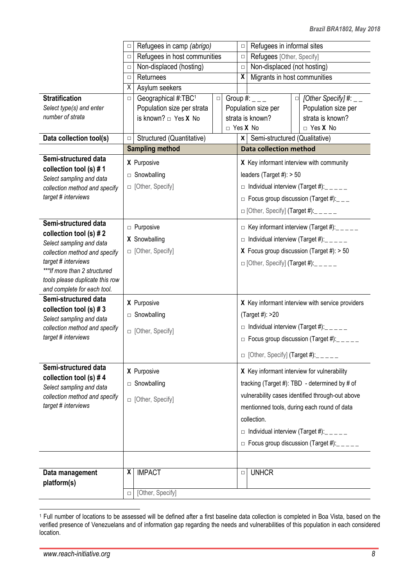|                                                     | $\Box$ | Refugees in camp (abrigo)    |        | $\Box$          |                                                  | Refugees in informal sites                        |                                                   |                                                    |
|-----------------------------------------------------|--------|------------------------------|--------|-----------------|--------------------------------------------------|---------------------------------------------------|---------------------------------------------------|----------------------------------------------------|
|                                                     | $\Box$ | Refugees in host communities |        |                 | $\Box$                                           | Refugees [Other, Specify]                         |                                                   |                                                    |
|                                                     | $\Box$ | Non-displaced (hosting)      |        |                 | $\Box$                                           | Non-displaced (not hosting)                       |                                                   |                                                    |
|                                                     | $\Box$ | Returnees                    |        |                 | X                                                | Migrants in host communities                      |                                                   |                                                    |
|                                                     | X      | Asylum seekers               |        |                 |                                                  |                                                   |                                                   |                                                    |
| <b>Stratification</b>                               | $\Box$ | Geographical #:TBC1          | $\Box$ |                 |                                                  | Group #: $_{---}$                                 | $\Box$                                            | [Other Specify] #: $_{--}$                         |
| Select type(s) and enter                            |        | Population size per strata   |        |                 |                                                  | Population size per                               |                                                   | Population size per                                |
| number of strata                                    |        | is known? $\Box$ Yes X No    |        |                 |                                                  | strata is known?                                  |                                                   | strata is known?                                   |
|                                                     |        |                              |        | $\Box$ Yes X No |                                                  |                                                   |                                                   | $\Box$ Yes X No                                    |
| Data collection tool(s)                             | $\Box$ | Structured (Quantitative)    |        |                 |                                                  | x   Semi-structured (Qualitative)                 |                                                   |                                                    |
|                                                     |        | <b>Sampling method</b>       |        |                 |                                                  | <b>Data collection method</b>                     |                                                   |                                                    |
| Semi-structured data                                |        | X Purposive                  |        |                 |                                                  |                                                   |                                                   | X Key informant interview with community           |
| collection tool (s) #1                              |        | □ Snowballing                |        |                 |                                                  | leaders (Target #): $> 50$                        |                                                   |                                                    |
| Select sampling and data                            |        |                              |        |                 |                                                  |                                                   |                                                   |                                                    |
| collection method and specify                       |        | □ [Other, Specify]           |        |                 |                                                  |                                                   |                                                   | $\Box$ Individual interview (Target #): $\Box$     |
| target # interviews                                 |        |                              |        |                 |                                                  |                                                   |                                                   | $\Box$ Focus group discussion (Target #): ___      |
|                                                     |        |                              |        |                 |                                                  | $\Box$ [Other, Specify] (Target #): _____         |                                                   |                                                    |
| Semi-structured data                                |        |                              |        |                 |                                                  |                                                   |                                                   |                                                    |
| collection tool (s) $# 2$                           |        | <b>D</b> Purposive           |        |                 | $\Box$ Key informant interview (Target #): _____ |                                                   |                                                   |                                                    |
| Select sampling and data                            |        | X Snowballing                |        |                 | $\Box$ Individual interview (Target #): _____    |                                                   |                                                   |                                                    |
| collection method and specify                       |        | □ [Other, Specify]           |        |                 |                                                  |                                                   |                                                   | <b>X</b> Focus group discussion (Target #): $> 50$ |
| target # interviews                                 |        |                              |        |                 | $\Box$ [Other, Specify] (Target #): $\Box$       |                                                   |                                                   |                                                    |
| ***If more than 2 structured                        |        |                              |        |                 |                                                  |                                                   |                                                   |                                                    |
| tools please duplicate this row                     |        |                              |        |                 |                                                  |                                                   |                                                   |                                                    |
| and complete for each tool.<br>Semi-structured data |        |                              |        |                 |                                                  |                                                   |                                                   |                                                    |
| collection tool (s) $# 3$                           |        | X Purposive                  |        |                 | X Key informant interview with service providers |                                                   |                                                   |                                                    |
| Select sampling and data                            |        | $\Box$ Snowballing           |        |                 |                                                  | (Target #): >20                                   |                                                   |                                                    |
| collection method and specify                       |        |                              |        |                 |                                                  |                                                   |                                                   | $\Box$ Individual interview (Target #): _ _ _ _ _  |
| target # interviews                                 |        | □ [Other, Specify]           |        |                 |                                                  |                                                   |                                                   | $\Box$ Focus group discussion (Target #): _ _ _ _  |
|                                                     |        |                              |        |                 |                                                  |                                                   |                                                   |                                                    |
|                                                     |        |                              |        |                 |                                                  | $\Box$ [Other, Specify] (Target #): $\Box$ $\Box$ |                                                   |                                                    |
| Semi-structured data                                |        | X Purposive                  |        |                 |                                                  |                                                   |                                                   | X Key informant interview for vulnerability        |
| collection tool (s) #4                              |        | $\Box$ Snowballing           |        |                 |                                                  |                                                   |                                                   | tracking (Target #): TBD - determined by # of      |
| Select sampling and data                            |        |                              |        |                 |                                                  |                                                   |                                                   |                                                    |
| collection method and specify                       |        | □ [Other, Specify]           |        |                 |                                                  |                                                   |                                                   | vulnerability cases identified through-out above   |
| target # interviews                                 |        |                              |        |                 |                                                  |                                                   |                                                   | mentionned tools, during each round of data        |
|                                                     |        |                              |        |                 |                                                  | collection.                                       |                                                   |                                                    |
|                                                     |        |                              |        |                 |                                                  |                                                   |                                                   | $\Box$ Individual interview (Target #): _ _ _ _ _  |
|                                                     |        |                              |        |                 |                                                  |                                                   | $\Box$ Focus group discussion (Target #): _ _ _ _ |                                                    |
|                                                     |        |                              |        |                 |                                                  |                                                   |                                                   |                                                    |
|                                                     |        |                              |        |                 |                                                  |                                                   |                                                   |                                                    |
| Data management                                     | X      | <b>IMPACT</b>                |        |                 | $\Box$                                           | <b>UNHCR</b>                                      |                                                   |                                                    |
| platform(s)                                         |        |                              |        |                 |                                                  |                                                   |                                                   |                                                    |
|                                                     | $\Box$ | [Other, Specify]             |        |                 |                                                  |                                                   |                                                   |                                                    |

<sup>1</sup> Full number of locations to be assessed will be defined after a first baseline data collection is completed in Boa Vista, based on the verified presence of Venezuelans and of information gap regarding the needs and vulnerabilities of this population in each considered location.

-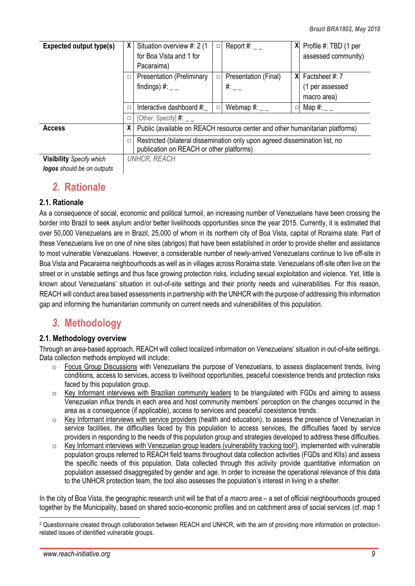| <b>Expected output type(s)</b>  | X.     | Situation overview #: 2 (1<br>for Boa Vista and 1 for                                                                   | $\Box$ | Report #: $_{-}$     |   | $X$ Profile #: TBD (1 per<br>assessed community) |  |  |  |
|---------------------------------|--------|-------------------------------------------------------------------------------------------------------------------------|--------|----------------------|---|--------------------------------------------------|--|--|--|
|                                 |        | Pacaraima)                                                                                                              |        |                      |   |                                                  |  |  |  |
|                                 | $\Box$ | <b>Presentation (Preliminary</b>                                                                                        | $\Box$ | Presentation (Final) | X | Factsheet #: 7                                   |  |  |  |
|                                 |        | findings) #: $_{--}$                                                                                                    |        | $\#$ :               |   | (1 per assessed                                  |  |  |  |
|                                 |        |                                                                                                                         |        |                      |   | macro area)                                      |  |  |  |
|                                 | $\Box$ | Interactive dashboard #:                                                                                                | $\Box$ | Webmap #: $_{-}$     |   | Map #: $\_\_$                                    |  |  |  |
|                                 | $\Box$ | [Other, Specify] $\#$ : __                                                                                              |        |                      |   |                                                  |  |  |  |
| <b>Access</b>                   | X      | Public (available on REACH resource center and other humanitarian platforms)                                            |        |                      |   |                                                  |  |  |  |
|                                 | $\Box$ | Restricted (bilateral dissemination only upon agreed dissemination list, no<br>publication on REACH or other platforms) |        |                      |   |                                                  |  |  |  |
| <b>Visibility</b> Specify which |        | <b>UNHCR, REACH</b>                                                                                                     |        |                      |   |                                                  |  |  |  |

**Visibility** *Specify which logos should be on outputs*

### *2.* **Rationale**

#### **2.1. Rationale**

As a consequence of social, economic and political turmoil, an increasing number of Venezuelans have been crossing the border into Brazil to seek asylum and/or better livelihoods opportunities since the year 2015. Currently, it is estimated that over 50,000 Venezuelans are in Brazil, 25,000 of whom in its northern city of Boa Vista, capital of Roraima state. Part of these Venezuelans live on one of nine sites (abrigos) that have been established in order to provide shelter and assistance to most vulnerable Venezuelans. However, a considerable number of newly-arrived Venezuelans continue to live off-site in Boa Vista and Pacaraima neighbourhoods as well as in villages across Roraima state. Venezuelans off-site often live on the street or in unstable settings and thus face growing protection risks, including sexual exploitation and violence. Yet, little is known about Venezuelans' situation in out-of-site settings and their priority needs and vulnerabilities. For this reason, REACH will conduct area based assessments in partnership with the UNHCR with the purpose of addressing this information gap and informing the humanitarian community on current needs and vulnerabilities of this population.

### *3.* **Methodology**

#### **2.1. Methodology overview**

Through an area-based approach, REACH will collect localized information on Venezuelans' situation in out-of-site settings. Data collection methods employed will include:

- $\circ$  Focus Group Discussions with Venezuelans the purpose of Venezuelans, to assess displacement trends, living conditions, access to services, access to livelihood opportunities, peaceful coexistence trends and protection risks faced by this population group.
- o Key Informant interviews with Brazilian community leaders to be triangulated with FGDs and aiming to assess Venezuelan influx trends in each area and host community members' perception on the changes occurred in the area as a consequence (if applicable), access to services and peaceful coexistence trends.
- $\circ$  Key Informant interviews with service providers (health and education), to assess the presence of Venezuelan in service facilities, the difficulties faced by this population to access services, the difficulties faced by service providers in responding to the needs of this population group and strategies developed to address these difficulties.
- o Key Informant interviews with Venezuelan group leaders (vulnerability tracking tool<sup>2</sup>), implemented with vulnerable population groups referred to REACH field teams throughout data collection activities (FGDs and KIIs) and assess the specific needs of this population. Data collected through this activity provide quantitative information on population assessed disaggregated by gender and age. In order to increase the operational relevance of this data to the UNHCR protection team, the tool also assesses the population's interest in living in a shelter.

In the city of Boa Vista, the geographic research unit will be that of a *macro area* – a set of official neighbourhoods grouped together by the Municipality, based on shared socio-economic profiles and on catchment area of social services (cf. map 1

<sup>&</sup>lt;u>.</u> <sup>2</sup> Questionnaire created through collaboration between REACH and UNHCR, with the aim of providing more information on protectionrelated issues of identified vulnerable groups.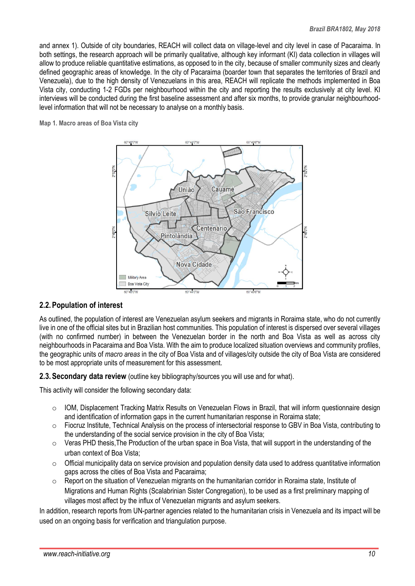and annex 1). Outside of city boundaries, REACH will collect data on village-level and city level in case of Pacaraima. In both settings, the research approach will be primarily qualitative, although key informant (KI) data collection in villages will allow to produce reliable quantitative estimations, as opposed to in the city, because of smaller community sizes and clearly defined geographic areas of knowledge. In the city of Pacaraima (boarder town that separates the territories of Brazil and Venezuela), due to the high density of Venezuelans in this area, REACH will replicate the methods implemented in Boa Vista city, conducting 1-2 FGDs per neighbourhood within the city and reporting the results exclusively at city level. KI interviews will be conducted during the first baseline assessment and after six months, to provide granular neighbourhoodlevel information that will not be necessary to analyse on a monthly basis.

**Map 1. Macro areas of Boa Vista city**



#### **2.2.Population of interest**

As outlined, the population of interest are Venezuelan asylum seekers and migrants in Roraima state, who do not currently live in one of the official sites but in Brazilian host communities. This population of interest is dispersed over several villages (with no confirmed number) in between the Venezuelan border in the north and Boa Vista as well as across city neighbourhoods in Pacaraima and Boa Vista. With the aim to produce localized situation overviews and community profiles, the geographic units of *macro areas* in the city of Boa Vista and of villages/city outside the city of Boa Vista are considered to be most appropriate units of measurement for this assessment.

**2.3.Secondary data review** (outline key bibliography/sources you will use and for what).

This activity will consider the following secondary data:

- $\circ$  IOM, Displacement Tracking Matrix Results on Venezuelan Flows in Brazil, that will inform questionnaire design and identification of information gaps in the current humanitarian response in Roraima state;
- o Fiocruz Institute, Technical Analysis on the process of intersectorial response to GBV in Boa Vista, contributing to the understanding of the social service provision in the city of Boa Vista;
- o Veras PHD thesis,The Production of the urban space in Boa Vista, that will support in the understanding of the urban context of Boa Vista;
- $\circ$  Official municipality data on service provision and population density data used to address quantitative information gaps across the cities of Boa Vista and Pacaraima;
- $\circ$  Report on the situation of Venezuelan migrants on the humanitarian corridor in Roraima state. Institute of Migrations and Human Rights (Scalabrinian Sister Congregation), to be used as a first preliminary mapping of villages most affect by the influx of Venezuelan migrants and asylum seekers.

In addition, research reports from UN-partner agencies related to the humanitarian crisis in Venezuela and its impact will be used on an ongoing basis for verification and triangulation purpose.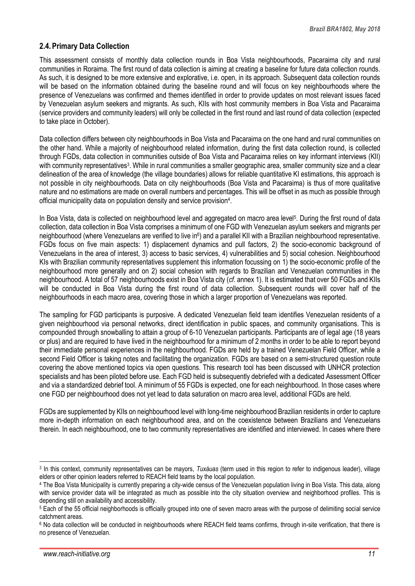#### **2.4.Primary Data Collection**

This assessment consists of monthly data collection rounds in Boa Vista neighbourhoods, Pacaraima city and rural communities in Roraima. The first round of data collection is aiming at creating a baseline for future data collection rounds. As such, it is designed to be more extensive and explorative, i.e. open, in its approach. Subsequent data collection rounds will be based on the information obtained during the baseline round and will focus on key neighbourhoods where the presence of Venezuelans was confirmed and themes identified in order to provide updates on most relevant issues faced by Venezuelan asylum seekers and migrants. As such, KIIs with host community members in Boa Vista and Pacaraima (service providers and community leaders) will only be collected in the first round and last round of data collection (expected to take place in October).

Data collection differs between city neighbourhoods in Boa Vista and Pacaraima on the one hand and rural communities on the other hand. While a majority of neighbourhood related information, during the first data collection round, is collected through FGDs, data collection in communities outside of Boa Vista and Pacaraima relies on key informant interviews (KII) with community representatives<sup>3</sup>. While in rural communities a smaller geographic area, smaller community size and a clear delineation of the area of knowledge (the village boundaries) allows for reliable quantitative KI estimations, this approach is not possible in city neighbourhoods. Data on city neighbourhoods (Boa Vista and Pacaraima) is thus of more qualitative nature and no estimations are made on overall numbers and percentages. This will be offset in as much as possible through official municipality data on population density and service provision<sup>4</sup>.

In Boa Vista, data is collected on neighbourhood level and aggregated on macro area level<sup>5</sup>. During the first round of data collection, data collection in Boa Vista comprises a minimum of one FGD with Venezuelan asylum seekers and migrants per neighbourhood (where Venezuelans are verified to live in<sup>6</sup>) and a parallel KII with a Brazilian neighbourhood representative. FGDs focus on five main aspects: 1) displacement dynamics and pull factors, 2) the socio-economic background of Venezuelans in the area of interest, 3) access to basic services, 4) vulnerabilities and 5) social cohesion. Neighbourhood KIs with Brazilian community representatives supplement this information focussing on 1) the socio-economic profile of the neighbourhood more generally and on 2) social cohesion with regards to Brazilian and Venezuelan communities in the neighbourhood. A total of 57 neighbourhoods exist in Boa Vista city (*cf*. annex 1). It is estimated that over 50 FGDs and KIIs will be conducted in Boa Vista during the first round of data collection. Subsequent rounds will cover half of the neighbourhoods in each macro area, covering those in which a larger proportion of Venezuelans was reported.

The sampling for FGD participants is purposive. A dedicated Venezuelan field team identifies Venezuelan residents of a given neighbourhood via personal networks, direct identification in public spaces, and community organisations. This is compounded through snowballing to attain a group of 6-10 Venezuelan participants. Participants are of legal age (18 years or plus) and are required to have lived in the neighbourhood for a minimum of 2 months in order to be able to report beyond their immediate personal experiences in the neighbourhood. FGDs are held by a trained Venezuelan Field Officer, while a second Field Officer is taking notes and facilitating the organization. FGDs are based on a semi-structured question route covering the above mentioned topics via open questions. This research tool has been discussed with UNHCR protection specialists and has been piloted before use. Each FGD held is subsequently debriefed with a dedicated Assessment Officer and via a standardized debrief tool. A minimum of 55 FGDs is expected, one for each neighbourhood. In those cases where one FGD per neighbourhood does not yet lead to data saturation on macro area level, additional FGDs are held.

FGDs are supplemented by KIIs on neighbourhood level with long-time neighbourhood Brazilian residents in order to capture more in-depth information on each neighbourhood area, and on the coexistence between Brazilians and Venezuelans therein. In each neighbourhood, one to two community representatives are identified and interviewed. In cases where there

<u>.</u>

<sup>3</sup> In this context, community representatives can be mayors, *Tuxáuas* (term used in this region to refer to indigenous leader), village elders or other opinion leaders referred to REACH field teams by the local population.

<sup>4</sup> The Boa Vista Municipality is currently preparing a city-wide census of the Venezuelan population living in Boa Vista. This data, along with service provider data will be integrated as much as possible into the city situation overview and neighborhood profiles. This is depending still on availability and accessibility.

<sup>5</sup> Each of the 55 official neighborhoods is officially grouped into one of seven macro areas with the purpose of delimiting social service catchment areas.

<sup>6</sup> No data collection will be conducted in neighbourhoods where REACH field teams confirms, through in-site verification, that there is no presence of Venezuelan.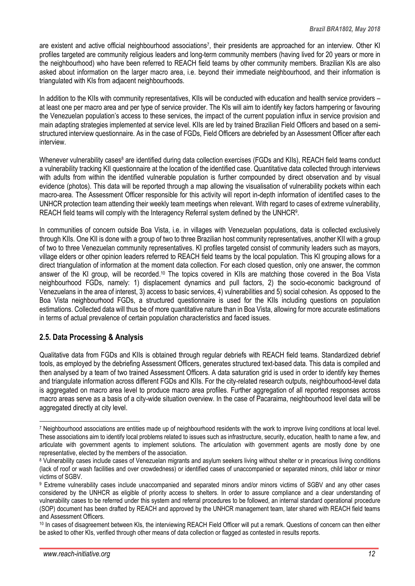are existent and active official neighbourhood associations<sup>7</sup>, their presidents are approached for an interview. Other KI profiles targeted are community religious leaders and long-term community members (having lived for 20 years or more in the neighbourhood) who have been referred to REACH field teams by other community members. Brazilian KIs are also asked about information on the larger macro area, i.e. beyond their immediate neighbourhood, and their information is triangulated with KIs from adjacent neighbourhoods.

In addition to the KIIs with community representatives, KIIs will be conducted with education and health service providers – at least one per macro area and per type of service provider. The KIs will aim to identify key factors hampering or favouring the Venezuelan population's access to these services, the impact of the current population influx in service provision and main adapting strategies implemented at service level. KIIs are led by trained Brazilian Field Officers and based on a semistructured interview questionnaire. As in the case of FGDs, Field Officers are debriefed by an Assessment Officer after each interview.

Whenever vulnerability cases<sup>8</sup> are identified during data collection exercises (FGDs and KIIs), REACH field teams conduct a vulnerability tracking KII questionnaire at the location of the identified case. Quantitative data collected through interviews with adults from within the identified vulnerable population is further compounded by direct observation and by visual evidence (photos). This data will be reported through a map allowing the visualisation of vulnerability pockets within each macro-area. The Assessment Officer responsible for this activity will report in-depth information of identified cases to the UNHCR protection team attending their weekly team meetings when relevant. With regard to cases of extreme vulnerability, REACH field teams will comply with the Interagency Referral system defined by the UNHCR<sup>9</sup>.

In communities of concern outside Boa Vista, i.e. in villages with Venezuelan populations, data is collected exclusively through KIIs. One KII is done with a group of two to three Brazilian host community representatives, another KII with a group of two to three Venezuelan community representatives. KI profiles targeted consist of community leaders such as mayors, village elders or other opinion leaders referred to REACH field teams by the local population. This KI grouping allows for a direct triangulation of information at the moment data collection. For each closed question, only one answer, the common answer of the KI group, will be recorded.<sup>10</sup> The topics covered in KIIs are matching those covered in the Boa Vista neighbourhood FGDs, namely: 1) displacement dynamics and pull factors, 2) the socio-economic background of Venezuelans in the area of interest, 3) access to basic services, 4) vulnerabilities and 5) social cohesion. As opposed to the Boa Vista neighbourhood FGDs, a structured questionnaire is used for the KIIs including questions on population estimations. Collected data will thus be of more quantitative nature than in Boa Vista, allowing for more accurate estimations in terms of actual prevalence of certain population characteristics and faced issues.

#### **2.5. Data Processing & Analysis**

Qualitative data from FGDs and KIIs is obtained through regular debriefs with REACH field teams. Standardized debrief tools, as employed by the debriefing Assessment Officers, generates structured text-based data. This data is compiled and then analysed by a team of two trained Assessment Officers. A data saturation grid is used in order to identify key themes and triangulate information across different FGDs and KIIs. For the city-related research outputs, neighbourhood-level data is aggregated on macro area level to produce macro area profiles. Further aggregation of all reported responses across macro areas serve as a basis of a city-wide situation overview. In the case of Pacaraima, neighbourhood level data will be aggregated directly at city level.

<u>.</u>

<sup>7</sup> Neighbourhood associations are entities made up of neighbourhood residents with the work to improve living conditions at local level. These associations aim to identify local problems related to issues such as infrastructure, security, education, health to name a few, and articulate with government agents to implement solutions. The articulation with government agents are mostly done by one representative, elected by the members of the association.

<sup>8</sup> Vulnerability cases include cases of Venezuelan migrants and asylum seekers living without shelter or in precarious living conditions (lack of roof or wash facilities and over crowdedness) or identified cases of unaccompanied or separated minors, child labor or minor victims of SGBV.

<sup>9</sup> Extreme vulnerability cases include unaccompanied and separated minors and/or minors victims of SGBV and any other cases considered by the UNHCR as eligible of priority access to shelters. In order to assure compliance and a clear understanding of vulnerability cases to be referred under this system and referral procedures to be followed, an internal standard operational procedure (SOP) document has been drafted by REACH and approved by the UNHCR management team, later shared with REACH field teams and Assessment Officers.

<sup>10</sup> In cases of disagreement between KIs, the interviewing REACH Field Officer will put a remark. Questions of concern can then either be asked to other KIs, verified through other means of data collection or flagged as contested in results reports.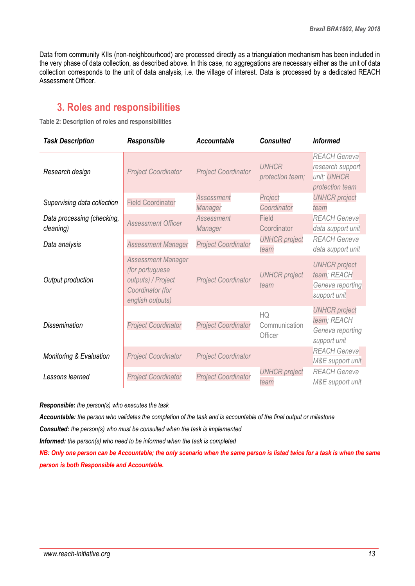Data from community KIIs (non-neighbourhood) are processed directly as a triangulation mechanism has been included in the very phase of data collection, as described above. In this case, no aggregations are necessary either as the unit of data collection corresponds to the unit of data analysis, i.e. the village of interest. Data is processed by a dedicated REACH Assessment Officer.

### **3. Roles and responsibilities**

**Table 2: Description of roles and responsibilities**

| <b>Task Description</b>                 | Responsible                                                                                                | <b>Accountable</b>           | <b>Consulted</b>                 | <b>Informed</b>                                                           |
|-----------------------------------------|------------------------------------------------------------------------------------------------------------|------------------------------|----------------------------------|---------------------------------------------------------------------------|
| Research design                         | <b>Project Coordinator</b>                                                                                 | <b>Project Coordinator</b>   | <b>UNHCR</b><br>protection team; | <b>REACH Geneva</b><br>research support<br>unit; UNHCR<br>protection team |
| Supervising data collection             | <b>Field Coordinator</b>                                                                                   | <b>Assessment</b><br>Manager | Project<br>Coordinator           | <b>UNHCR</b> project<br>team                                              |
| Data processing (checking,<br>cleaning) | <b>Assessment Officer</b>                                                                                  | Assessment<br>Manager        | Field<br>Coordinator             | <b>REACH Geneva</b><br>data support unit                                  |
| Data analysis                           | <b>Assessment Manager</b>                                                                                  | <b>Project Coordinator</b>   | <b>UNHCR</b> project<br>team     | <b>REACH Geneva</b><br>data support unit                                  |
| Output production                       | <b>Assessment Manager</b><br>(for portuguese<br>outputs) / Project<br>Coordinator (for<br>english outputs) | <b>Project Coordinator</b>   | <b>UNHCR</b> project<br>team     | <b>UNHCR</b> project<br>team; REACH<br>Geneva reporting<br>support unit   |
| <b>Dissemination</b>                    | <b>Project Coordinator</b>                                                                                 | <b>Project Coordinator</b>   | HQ<br>Communication<br>Officer   | <b>UNHCR</b> project<br>team; REACH<br>Geneva reporting<br>support unit   |
| <b>Monitoring &amp; Evaluation</b>      | <b>Project Coordinator</b>                                                                                 | <b>Project Coordinator</b>   |                                  | <b>REACH Geneva</b><br>M&E support unit                                   |
| Lessons learned                         | <b>Project Coordinator</b>                                                                                 | <b>Project Coordinator</b>   | <b>UNHCR</b> project<br>team     | <b>REACH Geneva</b><br>M&E support unit                                   |

*Responsible: the person(s) who executes the task*

*Accountable: the person who validates the completion of the task and is accountable of the final output or milestone*

*Consulted: the person(s) who must be consulted when the task is implemented*

*Informed: the person(s) who need to be informed when the task is completed*

*NB: Only one person can be Accountable; the only scenario when the same person is listed twice for a task is when the same person is both Responsible and Accountable.*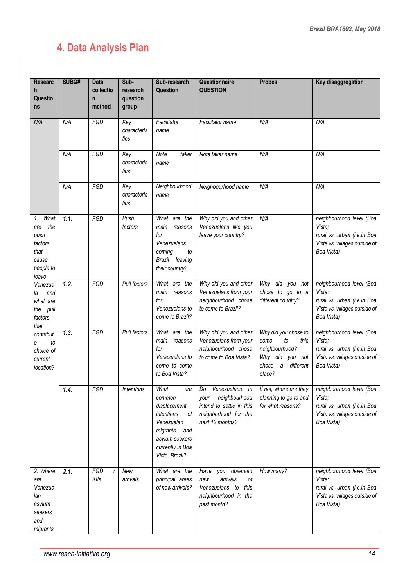### **4. Data Analysis Plan**

| <b>Researc</b><br>h<br>Questio<br>ns                                                                                                                                                                               | SUBQ#            | Data<br>collectio<br>$\mathsf{n}$<br>method | Sub-<br>research<br>question<br>group | Sub-research<br>Question                                                                                                                             | Questionnaire<br><b>QUESTION</b>                                                                                     | <b>Probes</b>                                                                                                               | Key disaggregation                                                                                                                      |
|--------------------------------------------------------------------------------------------------------------------------------------------------------------------------------------------------------------------|------------------|---------------------------------------------|---------------------------------------|------------------------------------------------------------------------------------------------------------------------------------------------------|----------------------------------------------------------------------------------------------------------------------|-----------------------------------------------------------------------------------------------------------------------------|-----------------------------------------------------------------------------------------------------------------------------------------|
| N/A                                                                                                                                                                                                                | N/A              | FGD                                         | Key<br>characteris<br>tics            | Facilitator<br>name                                                                                                                                  | Facilitator name                                                                                                     | N/A                                                                                                                         | N/A                                                                                                                                     |
|                                                                                                                                                                                                                    | N/A              | FGD                                         | Key<br>characteris<br>tics            | Note<br>taker<br>name                                                                                                                                | Note taker name                                                                                                      | N/A                                                                                                                         | N/A                                                                                                                                     |
|                                                                                                                                                                                                                    | N/A              | FGD                                         | Key<br>characteris<br>tics            | Neighbourhood<br>name                                                                                                                                | Neighbourhood name                                                                                                   | N/A                                                                                                                         | N/A                                                                                                                                     |
| What<br>1.<br>the<br>are<br>push<br>factors<br>that<br>cause<br>people to<br>leave<br>Venezue<br>and<br>la<br>what are<br>the pull<br>factors<br>that<br>contribut<br>to<br>е<br>choice of<br>current<br>location? | $\overline{1.1}$ | FGD                                         | Push<br>factors                       | What are the<br>main reasons<br>for<br>Venezuelans<br>coming<br>to<br>Brazil leaving<br>their country?                                               | Why did you and other<br>Venezuelans like you<br>leave your country?                                                 | N/A                                                                                                                         | neighbourhood level (Boa<br>Vista;<br>rural vs. urban (i.e.in Boa<br>Vista vs. villages outside of<br>Boa Vista)                        |
|                                                                                                                                                                                                                    | 1.2.             | FGD                                         | Pull factors                          | What are the<br>main<br>reasons<br>for<br>Venezuelans to<br>come to Brazil?                                                                          | Why did you and other<br>Venezuelans from your<br>neighbourhood chose<br>to come to Brazil?                          | Why did you not<br>chose to go to a<br>different country?                                                                   | neighbourhood level (Boa<br>Vista;<br>rural vs. urban (i.e.in Boa<br>Vista vs. villages outside of<br>Boa Vista)                        |
|                                                                                                                                                                                                                    | 1.3.             | FGD                                         | Pull factors                          | What are the<br>main<br>reasons<br>for<br>Venezuelans to<br>come to come<br>to Boa Vista?                                                            | Why did you and other<br>Venezuelans from your<br>neighbourhood chose<br>to come to Boa Vista?                       | Why did you chose to<br>to<br>this<br>come<br>neighbourhood?<br>Why did you not<br>$\theta$<br>different<br>chose<br>place? | neighbourhood level (Boa<br>Vista;<br>rural vs. urban (i.e.in Boa<br>Vista vs. villages outside of<br>Boa Vista)                        |
|                                                                                                                                                                                                                    | 1.4.             | FGD                                         | Intentions                            | What<br>are I<br>common<br>displacement<br>intentions<br>0f<br>Venezuelan<br>migrants<br>and<br>asylum seekers<br>currently in Boa<br>Vista, Brazil? | Do<br>Venezuelans in<br>neighbourhood<br>your<br>intend to settle in this<br>neighborhood for the<br>next 12 months? | planning to go to and<br>for what reasons?                                                                                  | If not, where are they neighbourhood level (Boa<br>Vista:<br>rural vs. urban (i.e.in Boa<br>Vista vs. villages outside of<br>Boa Vista) |
| 2. Where<br>are<br>Venezue<br>lan<br>asylum<br>seekers<br>and<br>migrants                                                                                                                                          | 2.1.             | FGD<br>KIIs                                 | New<br>arrivals                       | What are the<br>principal areas<br>of new arrivals?                                                                                                  | Have<br>you observed<br>arrivals<br>οf<br>new<br>Venezuelans to<br>this<br>neighbourhood in the<br>past month?       | How many?                                                                                                                   | neighbourhood level (Boa<br>Vista:<br>rural vs. urban (i.e.in Boa<br>Vista vs. villages outside of<br>Boa Vista)                        |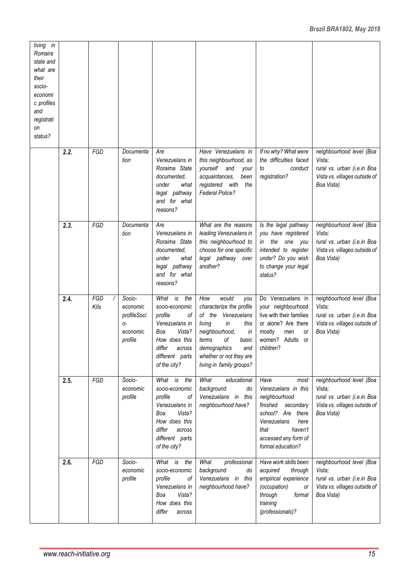| living in<br>Romaira<br>state and<br>what are<br>their<br>socio-<br>economi<br>c profiles<br>and<br>registrati<br>оn<br>status? |      |             |                                                                   |                                                                                                                                                                 |                                                                                                                                                                                                                                |                                                                                                                                                                                           |                                                                                                                  |
|---------------------------------------------------------------------------------------------------------------------------------|------|-------------|-------------------------------------------------------------------|-----------------------------------------------------------------------------------------------------------------------------------------------------------------|--------------------------------------------------------------------------------------------------------------------------------------------------------------------------------------------------------------------------------|-------------------------------------------------------------------------------------------------------------------------------------------------------------------------------------------|------------------------------------------------------------------------------------------------------------------|
|                                                                                                                                 | 2.2. | FGD         | Documenta<br>tion                                                 | Are<br>Venezuelans in<br>Roraima State<br>documented,<br>under<br>what<br>legal pathway<br>and for what<br>reasons?                                             | Have Venezuelans in<br>this neighbourhood, as<br>yourself<br>and<br>your<br>acquaintances,<br>been<br>with<br>registered<br>the<br><b>Federal Police?</b>                                                                      | If no why? What were<br>the difficulties faced<br>conduct<br>to<br>registration?                                                                                                          | neighbourhood level (Boa<br>Vista;<br>rural vs. urban (i.e.in Boa<br>Vista vs. villages outside of<br>Boa Vista) |
|                                                                                                                                 | 2.3. | FGD         | Documenta<br>tion                                                 | Are<br>Venezuelans in<br>Roraima State<br>documented,<br>under<br>what<br>legal pathway<br>and for what<br>reasons?                                             | What are the reasons<br>leading Venezuelans in<br>this neighbourhood to<br>choose for one specific<br>legal pathway over<br>another?                                                                                           | Is the legal pathway<br>you have registered<br>the<br>one<br>in<br>you<br>intended to register<br>under? Do you wish<br>to change your legal<br>status?                                   | neighbourhood level (Boa<br>Vista;<br>rural vs. urban (i.e.in Boa<br>Vista vs. villages outside of<br>Boa Vista) |
|                                                                                                                                 | 2.4. | FGD<br>KIIs | Socio-<br>economic<br>profileSoci<br>$O -$<br>economic<br>profile | is<br>What<br>the<br>socio-economic<br>profile<br>οf<br>Venezuelans in<br>Vista?<br>Boa<br>How does this<br>differ<br>across<br>different parts<br>of the city? | would<br>How<br>you<br>characterize the profile<br>of the<br>Venezuelans<br>living<br>in<br>this<br>neighbourhood,<br>in<br>οf<br>terms<br>basic<br>demographics<br>and<br>whether or not they are<br>living in family groups? | Do Venezuelans in<br>your neighbourhood<br>live with their families<br>or alone? Are there<br>mostly<br>men<br>or<br>women?<br>Adults<br>or<br>children?                                  | neighbourhood level (Boa<br>Vista;<br>rural vs. urban (i.e.in Boa<br>Vista vs. villages outside of<br>Boa Vista) |
|                                                                                                                                 | 2.5. | FGD         | Socio-<br>economic<br>profile                                     | What<br>is<br>the<br>socio-economic<br>profile<br>οf<br>Venezuelans in<br>Vista?<br>Boa<br>How does this<br>differ<br>across<br>different parts<br>of the city? | What<br>educational<br>background<br>do<br>Venezuelans in this<br>neighbourhood have?                                                                                                                                          | Have<br>most<br>Venezuelans in this<br>neighbourhood<br>finished<br>secondary<br>school? Are there<br>Venezuelans<br>here<br>haven't<br>that<br>accessed any form of<br>formal education? | neighbourhood level (Boa<br>Vista;<br>rural vs. urban (i.e.in Boa<br>Vista vs. villages outside of<br>Boa Vista) |
|                                                                                                                                 | 2.6. | FGD         | Socio-<br>economic<br>profile                                     | What is<br>the<br>socio-economic<br>profile<br>οf<br>Venezuelans in<br>Vista?<br>Boa<br>How does this<br>differ<br>across                                       | What<br>professional<br>background<br>do<br>Venezuelans in this<br>neighbourhood have?                                                                                                                                         | Have work skills been<br>acquired<br>through<br>empirical experience<br>(occupation)<br>0r<br>through<br>formal<br>training<br>(professionals)?                                           | neighbourhood level (Boa<br>Vista;<br>rural vs. urban (i.e.in Boa<br>Vista vs. villages outside of<br>Boa Vista) |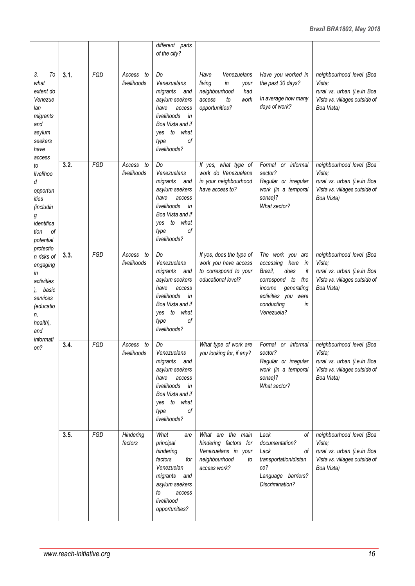|                                                                                                                                                                                                                                                |      |     |                             | different parts<br>of the city?                                                                                                                                      |                                                                                                               |                                                                                                                                                                               |                                                                                                                  |
|------------------------------------------------------------------------------------------------------------------------------------------------------------------------------------------------------------------------------------------------|------|-----|-----------------------------|----------------------------------------------------------------------------------------------------------------------------------------------------------------------|---------------------------------------------------------------------------------------------------------------|-------------------------------------------------------------------------------------------------------------------------------------------------------------------------------|------------------------------------------------------------------------------------------------------------------|
| 3.<br>To<br>what<br>extent do<br>Venezue<br>lan<br>migrants<br>and<br>asylum<br>seekers<br>have<br>access                                                                                                                                      | 3.1. | FGD | Access<br>to<br>livelihoods | Do<br>Venezuelans<br>migrants<br>and<br>asylum seekers<br>have<br>access<br>livelihoods<br>in<br>Boa Vista and if<br>to<br>what<br>yes<br>οf<br>type<br>livelihoods? | Venezuelans<br>Have<br>living<br>in<br>your<br>neighbourhood<br>had<br>work<br>access<br>to<br>opportunities? | Have you worked in<br>the past 30 days?<br>In average how many<br>days of work?                                                                                               | neighbourhood level (Boa<br>Vista:<br>rural vs. urban (i.e.in Boa<br>Vista vs. villages outside of<br>Boa Vista) |
| to<br>livelihoo<br>d<br>opportun<br>ities<br>(includin<br>g<br>identifica<br>οf<br>tion<br>potential<br>protectio<br>n risks of<br>engaging<br>in<br>activities<br>basic<br>services<br>(educatio<br>n,<br>health),<br>and<br>informati<br>on? | 3.2. | FGD | Access<br>to<br>livelihoods | Do<br>Venezuelans<br>migrants<br>and<br>asylum seekers<br>have<br>access<br>livelihoods<br>in<br>Boa Vista and if<br>what<br>to<br>ves<br>οf<br>type<br>livelihoods? | If yes, what type of<br>work do Venezuelans<br>in your neighbourhood<br>have access to?                       | Formal or informal<br>sector?<br>Regular or irregular<br>work (in a temporal<br>sense)?<br>What sector?                                                                       | neighbourhood level (Boa<br>Vista:<br>rural vs. urban (i.e.in Boa<br>Vista vs. villages outside of<br>Boa Vista) |
|                                                                                                                                                                                                                                                | 3.3. | FGD | Access<br>to<br>livelihoods | Do<br>Venezuelans<br>migrants<br>and<br>asylum seekers<br>have<br>access<br>livelihoods<br>in<br>Boa Vista and if<br>to<br>what<br>yes<br>οf<br>type<br>livelihoods? | If yes, does the type of<br>work you have access<br>to correspond to your<br>educational level?               | The work you are<br>accessing<br>here<br>in<br>Brazil,<br>does<br>it<br>correspond to<br>the<br>income<br>generating<br>activities you were<br>conducting<br>in<br>Venezuela? | neighbourhood level (Boa<br>Vista;<br>rural vs. urban (i.e.in Boa<br>Vista vs. villages outside of<br>Boa Vista) |
|                                                                                                                                                                                                                                                | 3.4. | FGD | to<br>Access<br>livelihoods | Do<br>Venezuelans<br>migrants and<br>asylum seekers<br>have<br>access<br>livelihoods<br>in<br>Boa Vista and if<br>yes to what<br>оf<br>type<br>livelihoods?          | What type of work are<br>you looking for, if any?                                                             | Formal or informal<br>sector?<br>Regular or irregular<br>work (in a temporal<br>sense)?<br>What sector?                                                                       | neighbourhood level (Boa<br>Vista;<br>rural vs. urban (i.e.in Boa<br>Vista vs. villages outside of<br>Boa Vista) |
|                                                                                                                                                                                                                                                | 3.5. | FGD | Hindering<br>factors        | What<br>are<br>principal<br>hindering<br>factors<br>for<br>Venezuelan<br>migrants<br>and<br>asylum seekers<br>to<br>access<br>livelihood<br>opportunities?           | What are the main<br>hindering factors for<br>Venezuelans in your<br>neighbourhood<br>to<br>access work?      | Lack<br>οf<br>documentation?<br>Lack<br>οf<br>transportation/distan<br>ce?<br>Language barriers?<br>Discrimination?                                                           | neighbourhood level (Boa<br>Vista:<br>rural vs. urban (i.e.in Boa<br>Vista vs. villages outside of<br>Boa Vista) |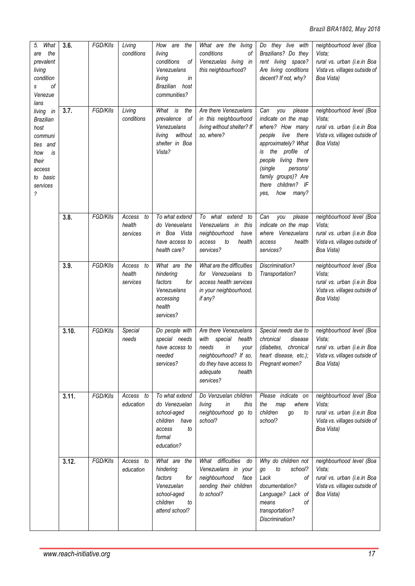| What<br>5.<br>the<br>are<br>prevalent<br>living<br>condition<br>0f<br>S<br>Venezue<br>lans<br>living in<br><b>Brazilian</b><br>host<br>communi<br>ties and<br>is<br>how<br>their<br>access<br>to basic<br>services<br>? | 3.6.  | FGD/KIIs | Living<br>conditions               | How are<br>the<br>living<br>conditions<br>οf<br>Venezuelans<br>living<br>in<br>Brazilian<br>host<br>communities? | What are the<br>living<br>conditions<br>οf<br>Venezuelas living in<br>this neighbourhood?                                                                       | $\overline{Do}$ they live<br>with<br>Brazilians? Do they<br>rent living space?<br>Are living conditions<br>decent? If not, why?                                                                                                                                   | neighbourhood level (Boa<br>Vista:<br>rural vs. urban (i.e.in Boa<br>Vista vs. villages outside of<br>Boa Vista) |
|-------------------------------------------------------------------------------------------------------------------------------------------------------------------------------------------------------------------------|-------|----------|------------------------------------|------------------------------------------------------------------------------------------------------------------|-----------------------------------------------------------------------------------------------------------------------------------------------------------------|-------------------------------------------------------------------------------------------------------------------------------------------------------------------------------------------------------------------------------------------------------------------|------------------------------------------------------------------------------------------------------------------|
|                                                                                                                                                                                                                         | 3.7.  | FGD/KIIs | Living<br>conditions               | What is<br>the<br>prevalence<br>of<br>Venezuelans<br>without<br>living<br>shelter in Boa<br>Vista?               | Are there Venezuelans<br>in this neighbourhood<br>living without shelter? If<br>so, where?                                                                      | Can<br>you<br>please<br>indicate on the map<br>where? How many<br>live<br>people<br>there<br>approximately? What<br>profile<br>of<br>the<br>is<br>people living there<br>(single<br>persons/<br>family groups)? Are<br>children? IF<br>there<br>how many?<br>yes, | neighbourhood level (Boa<br>Vista;<br>rural vs. urban (i.e.in Boa<br>Vista vs. villages outside of<br>Boa Vista) |
|                                                                                                                                                                                                                         | 3.8.  | FGD/KIIs | Access<br>to<br>health<br>services | To what extend<br>do Veneuelans<br>Boa Vista<br>in<br>have access to<br>health care?                             | what extend<br>To<br>to<br>Venezuelans in<br>this<br>neighbourhood<br>have<br>access<br>to<br>health<br>services?                                               | Can<br>you<br>please<br>indicate on the map<br>where Venezuelans<br>health<br>access<br>services?                                                                                                                                                                 | neighbourhood level (Boa<br>Vista;<br>rural vs. urban (i.e.in Boa<br>Vista vs. villages outside of<br>Boa Vista) |
|                                                                                                                                                                                                                         | 3.9.  | FGD/KIIs | Access<br>to<br>health<br>services | What are<br>the<br>hindering<br>factors<br>for<br>Venezuelans<br>accessing<br>health<br>services?                | What are the difficulties<br>for Venezuelans<br>to<br>access health services<br>in your neighbourhood,<br>if any?                                               | Discrimination?<br>Transportation?                                                                                                                                                                                                                                | neighbourhood level (Boa<br>Vista:<br>rural vs. urban (i.e.in Boa<br>Vista vs. villages outside of<br>Boa Vista) |
|                                                                                                                                                                                                                         | 3.10. | FGD/KIIs | Special<br>needs                   | Do people with<br>special needs<br>have access to<br>needed<br>services?                                         | Are there Venezuelans<br>with<br>special<br>health<br>needs<br>in<br>your<br>neighbourhood? If so,<br>do they have access to<br>adequate<br>health<br>services? | Special needs due to<br>chronical<br>disease<br>chronical<br>(diabetes,<br>heart disease, etc.);<br>Pregnant women?                                                                                                                                               | neighbourhood level (Boa<br>Vista;<br>rural vs. urban (i.e.in Boa<br>Vista vs. villages outside of<br>Boa Vista) |
|                                                                                                                                                                                                                         | 3.11. | FGD/KIIs | Access to<br>education             | To what extend<br>do Venezuelan<br>school-aged<br>children<br>have<br>to<br>access<br>formal<br>education?       | Do Venzuelan children<br>living<br>in<br>this<br>neighbourhood go to<br>school?                                                                                 | Please indicate on<br>the<br>where<br>map<br>children<br>to<br>go<br>school?                                                                                                                                                                                      | neighbourhood level (Boa<br>Vista:<br>rural vs. urban (i.e.in Boa<br>Vista vs. villages outside of<br>Boa Vista) |
|                                                                                                                                                                                                                         | 3.12. | FGD/KIIs | Access to<br>education             | What are the<br>hindering<br>factors<br>for<br>Venezuelan<br>school-aged<br>children<br>to<br>attend school?     | What difficulties<br>do<br>Venezuelans in your<br>neighbourhood<br>face<br>sending their children<br>to school?                                                 | Why do children not<br>school?<br>to<br>go<br>Lack<br>οf<br>documentation?<br>Language? Lack of<br>оf<br>means<br>transportation?<br>Discrimination?                                                                                                              | neighbourhood level (Boa<br>Vista;<br>rural vs. urban (i.e.in Boa<br>Vista vs. villages outside of<br>Boa Vista) |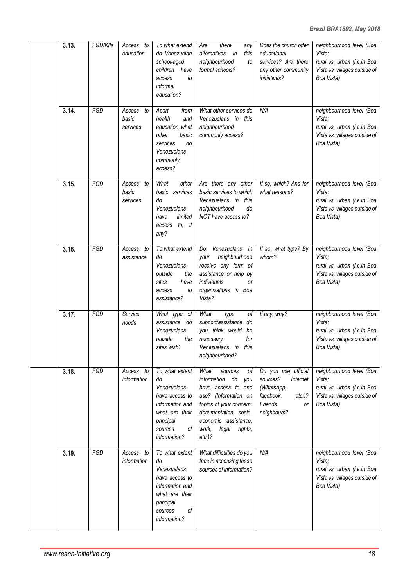| 3.13. | FGD/KIIs | Access to<br>education            | To what extend<br>do Venezuelan<br>school-aged<br>children<br>have<br>to<br>access<br>informal<br>education?                             | there<br>Are<br>any<br>alternatives<br>in<br>this<br>neighbourhood<br>to<br>formal schools?                                                                                                                           | Does the church offer<br>educational<br>services? Are there<br>any other community<br><i>initiatives?</i>                  | neighbourhood level (Boa<br>Vista;<br>rural vs. urban (i.e.in Boa<br>Vista vs. villages outside of<br>Boa Vista) |
|-------|----------|-----------------------------------|------------------------------------------------------------------------------------------------------------------------------------------|-----------------------------------------------------------------------------------------------------------------------------------------------------------------------------------------------------------------------|----------------------------------------------------------------------------------------------------------------------------|------------------------------------------------------------------------------------------------------------------|
| 3.14. | FGD      | Access<br>to<br>basic<br>services | Apart<br>from<br>health<br>and<br>education, what<br>other<br>basic<br>do<br>services<br>Venezuelans<br>commonly<br>access?              | What other services do<br>Venezuelans in this<br>neighbourhood<br>commonly access?                                                                                                                                    | N/A                                                                                                                        | neighbourhood level (Boa<br>Vista:<br>rural vs. urban (i.e.in Boa<br>Vista vs. villages outside of<br>Boa Vista) |
| 3.15. | FGD      | Access<br>to<br>basic<br>services | What<br>other<br>basic services<br>do<br>Venezuelans<br>limited<br>have<br>access to, if<br>any?                                         | Are there any other<br>basic services to which<br>Venezuelans in this<br>neighbourhood<br>do<br>NOT have access to?                                                                                                   | If so, which? And for<br>what reasons?                                                                                     | neighbourhood level (Boa<br>Vista;<br>rural vs. urban (i.e.in Boa<br>Vista vs. villages outside of<br>Boa Vista) |
| 3.16. | FGD      | Access<br>to<br>assistance        | To what extend<br>do<br>Venezuelans<br>outside<br>the<br>have<br>sites<br>to<br>access<br>assistance?                                    | Venezuelans in<br>Do<br>neighbourhood<br>your<br>receive any form of<br>assistance or help by<br>individuals<br><b>or</b><br>organizations in Boa<br>Vista?                                                           | If so, what type? By<br>whom?                                                                                              | neighbourhood level (Boa<br>Vista:<br>rural vs. urban (i.e.in Boa<br>Vista vs. villages outside of<br>Boa Vista) |
| 3.17. | FGD      | Service<br>needs                  | What type of<br>assistance do<br>Venezuelans<br>outside<br>the<br>sites wish?                                                            | What<br>type<br>οf<br>support/assistance do<br>you think would<br>be<br>for<br>necessary<br>Venezuelans in<br>this<br>neighbourhood?                                                                                  | If any, why?                                                                                                               | neighbourhood level (Boa<br>Vista;<br>rural vs. urban (i.e.in Boa<br>Vista vs. villages outside of<br>Boa Vista) |
| 3.18. | FGD      | Access<br>to<br>information       | To what extent<br>do<br>Venezuelans<br>have access to<br>information and<br>what are their<br>principal<br>sources<br>оf<br>information? | What<br>οf<br>sources<br>information<br>do<br>you<br>have access to and<br>use? (Information on<br>topics of your concern:<br>documentation, socio-<br>economic assistance,<br>work,<br>legal<br>rights,<br>$etc.$ )? | Do you use official<br>sources?<br>Internet<br>(WhatsApp,<br>facebook,<br>$etc.$ )?<br>Friends<br><b>or</b><br>neighbours? | neighbourhood level (Boa<br>Vista;<br>rural vs. urban (i.e.in Boa<br>Vista vs. villages outside of<br>Boa Vista) |
| 3.19. | FGD      | Access<br>to<br>information       | To what extent<br>do<br>Venezuelans<br>have access to<br>information and<br>what are their<br>principal<br>οf<br>sources<br>information? | What difficulties do you<br>face in accessing these<br>sources of information?                                                                                                                                        | N/A                                                                                                                        | neighbourhood level (Boa<br>Vista:<br>rural vs. urban (i.e.in Boa<br>Vista vs. villages outside of<br>Boa Vista) |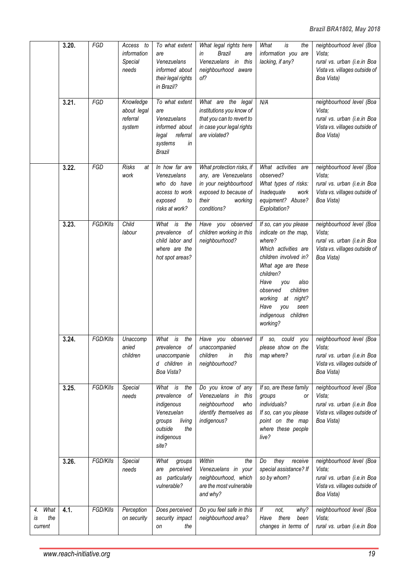|                                    | 3.20. | FGD      | Access to<br>information<br>Special<br>needs   | To what extent<br>are<br>Venezuelans<br>informed about<br>their legal rights<br>in Brazil?                                  | What legal rights here<br><b>Brazil</b><br>in<br>are<br>this<br>Venezuelans in<br>neighbourhood aware<br>of?                           | What<br>is<br>the<br>information you are<br>lacking, if any?                                                                                                                                                                                                                 | neighbourhood level (Boa<br>Vista:<br>rural vs. urban (i.e.in Boa<br>Vista vs. villages outside of<br>Boa Vista) |
|------------------------------------|-------|----------|------------------------------------------------|-----------------------------------------------------------------------------------------------------------------------------|----------------------------------------------------------------------------------------------------------------------------------------|------------------------------------------------------------------------------------------------------------------------------------------------------------------------------------------------------------------------------------------------------------------------------|------------------------------------------------------------------------------------------------------------------|
|                                    | 3.21. | FGD      | Knowledge<br>about legal<br>referral<br>system | To what extent<br>are<br>Venezuelans<br>informed about<br>referral<br>legal<br>systems<br>in<br><b>Brazil</b>               | What are the legal<br>institutions you know of<br>that you can to revert to<br>in case your legal rights<br>are violated?              | N/A                                                                                                                                                                                                                                                                          | neighbourhood level (Boa<br>Vista;<br>rural vs. urban (i.e.in Boa<br>Vista vs. villages outside of<br>Boa Vista) |
|                                    | 3.22. | FGD      | <b>Risks</b><br>at<br>work                     | In how far are<br>Venezuelans<br>who do have<br>access to work<br>exposed<br>to<br>risks at work?                           | What protection risks, if<br>any, are Venezuelans<br>in your neighbourhood<br>exposed to because of<br>their<br>working<br>conditions? | What activities are<br>observed?<br>What types of risks:<br>Inadequate<br>work<br>equipment? Abuse?<br>Exploitation?                                                                                                                                                         | neighbourhood level (Boa<br>Vista;<br>rural vs. urban (i.e.in Boa<br>Vista vs. villages outside of<br>Boa Vista) |
|                                    | 3.23. | FGD/KIIs | Child<br>labour                                | What is<br>the<br>prevalence<br>of<br>child labor and<br>where are the<br>hot spot areas?                                   | Have you observed<br>children working in this<br>neighbourhood?                                                                        | If so, can you please<br>indicate on the map,<br>where?<br>Which activities are<br>children involved in?<br>What age are these<br>children?<br>Have<br>also<br>you<br>children<br>observed<br>at night?<br>working<br>Have<br>you<br>seen<br>indigenous children<br>working? | neighbourhood level (Boa<br>Vista;<br>rural vs. urban (i.e.in Boa<br>Vista vs. villages outside of<br>Boa Vista) |
|                                    | 3.24. | FGD/KIIs | Unaccomp<br>anied<br>children                  | What<br>is<br>the<br>prevalence<br>of<br>unaccompanie<br>children in<br>d<br>Boa Vista?                                     | observed<br>Have<br>you<br>unaccompanied<br>children<br>in<br>this<br>neighbourhood?                                                   | could<br>If $so$ ,<br>you<br>please show on the<br>map where?                                                                                                                                                                                                                | neighbourhood level (Boa<br>Vista;<br>rural vs. urban (i.e.in Boa<br>Vista vs. villages outside of<br>Boa Vista) |
|                                    | 3.25. | FGD/KIIs | Special<br>needs                               | What is<br>the<br>prevalence<br>οf<br>indigenous<br>Venezuelan<br>living<br>groups<br>outside<br>the<br>indigenous<br>site? | Do you know of any<br>Venezuelans in this<br>neighbourhood<br>who<br>identify themselves as<br>indigenous?                             | If so, are these family<br>groups<br>0r<br>individuals?<br>If so, can you please<br>point on the map<br>where these people<br>live?                                                                                                                                          | neighbourhood level (Boa<br>Vista:<br>rural vs. urban (i.e.in Boa<br>Vista vs. villages outside of<br>Boa Vista) |
|                                    | 3.26. | FGD/KIIs | Special<br>needs                               | What<br>groups<br>perceived<br>are<br>particularly<br>as<br>vulnerable?                                                     | Within<br>the<br>Venezuelans in your<br>neighbourhood, which<br>are the most vulnerable<br>and why?                                    | Do<br>they<br>receive<br>special assistance? If<br>so by whom?                                                                                                                                                                                                               | neighbourhood level (Boa<br>Vista;<br>rural vs. urban (i.e.in Boa<br>Vista vs. villages outside of<br>Boa Vista) |
| What<br>4.<br>the<br>is<br>current | 4.1.  | FGD/KIIs | Perception<br>on security                      | Does perceived<br>security impact<br>the<br>on                                                                              | Do you feel safe in this<br>neighbourhood area?                                                                                        | $\ensuremath{\mathit{If}}\xspace$<br>not,<br>why?<br>Have there<br>been<br>changes in terms of                                                                                                                                                                               | neighbourhood level (Boa<br>Vista:<br>rural vs. urban (i.e.in Boa                                                |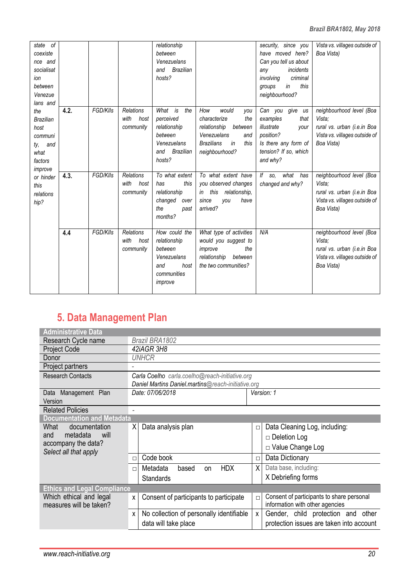| state of<br>coexiste<br>nce and<br>socialisat<br>ion<br>between<br>Venezue<br>lans and |      |          |                                               | relationship<br>hetween<br>Venezuelans<br>and Brazilian<br>hosts?                                |                                                                                                                                                  | security, since you<br>have moved here?<br>Can you tell us about<br>incidents<br>any<br>criminal<br>involving<br>this<br>in<br>groups<br>neighbourhood? | Vista vs. villages outside of<br>Boa Vista)                                                                      |
|----------------------------------------------------------------------------------------|------|----------|-----------------------------------------------|--------------------------------------------------------------------------------------------------|--------------------------------------------------------------------------------------------------------------------------------------------------|---------------------------------------------------------------------------------------------------------------------------------------------------------|------------------------------------------------------------------------------------------------------------------|
| the<br><b>Brazilian</b><br>host<br>communi<br>ty, and<br>what<br>factors<br>improve    | 4.2. | FGD/KIIs | <b>Relations</b><br>with<br>host<br>community | What is<br>the<br>perceived<br>relationship<br>between<br>Venezuelans<br>and Brazilian<br>hosts? | would<br>How<br>you<br>characterize<br>the<br>relationship<br>between<br>Venezuelans<br>and<br><b>Brazilians</b><br>this<br>in<br>neighbourhood? | Can you give<br>us<br>examples<br>that<br>illustrate<br>your<br>position?<br>Is there any form of<br>tension? If so, which<br>and why?                  | neighbourhood level (Boa<br>Vista:<br>rural vs. urban (i.e.in Boa<br>Vista vs. villages outside of<br>Boa Vista) |
| or hinder<br>this<br>relations<br>hip?                                                 | 4.3. | FGD/KIIs | <b>Relations</b><br>with<br>host<br>community | To what extent<br>this<br>has<br>relationship<br>changed<br>over<br>the<br>past<br>months?       | To what extent have<br>you observed changes<br>this<br>relationship,<br>in<br>since<br>have<br>vou<br>arrived?                                   | lf<br>what<br>has<br>SO.<br>changed and why?                                                                                                            | neighbourhood level (Boa<br>Vista:<br>rural vs. urban (i.e.in Boa<br>Vista vs. villages outside of<br>Boa Vista) |
|                                                                                        | 4.4  | FGD/KIIs | Relations<br>with<br>host<br>community        | How could the<br>relationship<br>between<br>Venezuelans<br>and<br>host<br>communities<br>improve | What type of activities<br>would you suggest to<br>improve<br>the<br>relationship<br>between<br>the two communities?                             | N/A                                                                                                                                                     | neighbourhood level (Boa<br>Vista:<br>rural vs. urban (i.e.in Boa<br>Vista vs. villages outside of<br>Boa Vista) |

# **5. Data Management Plan**

| <b>Administrative Data</b>                         |                                                    |                                                                                        |  |  |  |  |  |
|----------------------------------------------------|----------------------------------------------------|----------------------------------------------------------------------------------------|--|--|--|--|--|
| Research Cycle name                                | Brazil BRA1802                                     |                                                                                        |  |  |  |  |  |
| Project Code                                       | 42iAGR 3H8                                         |                                                                                        |  |  |  |  |  |
| Donor                                              | <i>UNHCR</i>                                       |                                                                                        |  |  |  |  |  |
| Project partners                                   | $\overline{\phantom{a}}$                           |                                                                                        |  |  |  |  |  |
| <b>Research Contacts</b>                           | Carla Coelho carla.coelho@reach-initiative.org     |                                                                                        |  |  |  |  |  |
|                                                    | Daniel Martins Daniel.martins@reach-initiative.org |                                                                                        |  |  |  |  |  |
| Management Plan<br>Data                            | Date: 07/06/2018                                   | Version: 1                                                                             |  |  |  |  |  |
| Version                                            |                                                    |                                                                                        |  |  |  |  |  |
| <b>Related Policies</b>                            | $\overline{\phantom{0}}$                           |                                                                                        |  |  |  |  |  |
| <b>Documentation and Metadata</b>                  |                                                    |                                                                                        |  |  |  |  |  |
| What<br>documentation                              | Data analysis plan<br>ΧI                           | Data Cleaning Log, including:<br>$\Box$                                                |  |  |  |  |  |
| metadata<br>and<br>will                            |                                                    | $\Box$ Deletion Log                                                                    |  |  |  |  |  |
| accompany the data?<br>Select all that apply       |                                                    | $\Box$ Value Change Log                                                                |  |  |  |  |  |
|                                                    | Code book<br>$\Box$                                | Data Dictionary<br>$\Box$                                                              |  |  |  |  |  |
|                                                    | <b>HDX</b><br>Metadata<br>based<br>on<br>П         | Data base, including:<br>X                                                             |  |  |  |  |  |
|                                                    | <b>Standards</b>                                   | X Debriefing forms                                                                     |  |  |  |  |  |
| <b>Ethics and Legal Compliance</b>                 |                                                    |                                                                                        |  |  |  |  |  |
| Which ethical and legal<br>measures will be taken? | Consent of participants to participate<br>X.       | Consent of participants to share personal<br>$\Box$<br>information with other agencies |  |  |  |  |  |
|                                                    | No collection of personally identifiable<br>X      | Gender, child protection and<br>other<br>$\mathsf{x}$                                  |  |  |  |  |  |
|                                                    | data will take place                               | protection issues are taken into account                                               |  |  |  |  |  |
|                                                    |                                                    |                                                                                        |  |  |  |  |  |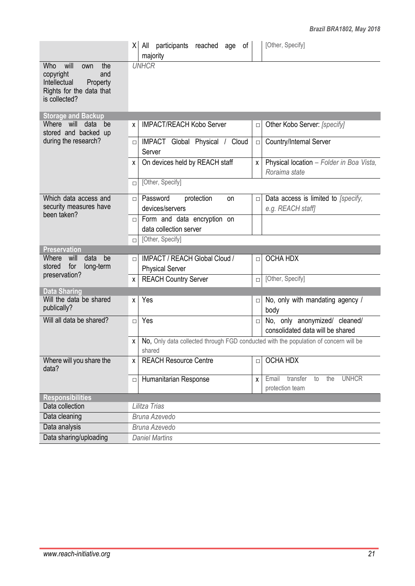|                                                                                                                        | [Other, Specify]<br>All participants reached age of<br>ΧI<br>majority                                                           |              |  |  |  |  |
|------------------------------------------------------------------------------------------------------------------------|---------------------------------------------------------------------------------------------------------------------------------|--------------|--|--|--|--|
| will<br>Who<br>the<br>own<br>and<br>copyright<br>Intellectual<br>Property<br>Rights for the data that<br>is collected? | <b>UNHCR</b>                                                                                                                    |              |  |  |  |  |
| <b>Storage and Backup</b>                                                                                              |                                                                                                                                 |              |  |  |  |  |
| Where will<br>data<br>be<br>stored and backed up                                                                       | <b>IMPACT/REACH Kobo Server</b><br>Other Kobo Server: [specify]<br>X<br>$\Box$                                                  |              |  |  |  |  |
| during the research?                                                                                                   | Country/Internal Server<br>IMPACT Global Physical / Cloud<br>$\Box$<br>$\Box$<br>Server                                         |              |  |  |  |  |
|                                                                                                                        | On devices held by REACH staff<br>Physical location - Folder in Boa Vista,<br>$\times$<br>X<br>Roraima state                    |              |  |  |  |  |
|                                                                                                                        | [Other, Specify]<br>$\Box$                                                                                                      |              |  |  |  |  |
| Which data access and<br>security measures have                                                                        | Password<br>Data access is limited to [specify,<br>protection<br>on<br>$\Box$<br>$\Box$<br>devices/servers<br>e.g. REACH staff] |              |  |  |  |  |
| been taken?                                                                                                            | Form and data encryption on<br>$\Box$<br>data collection server                                                                 |              |  |  |  |  |
|                                                                                                                        | [Other, Specify]<br>$\Box$                                                                                                      |              |  |  |  |  |
| <b>Preservation</b>                                                                                                    |                                                                                                                                 |              |  |  |  |  |
| Where<br>data<br>will<br>be<br>stored<br>for<br>long-term                                                              | <b>OCHA HDX</b><br><b>IMPACT / REACH Global Cloud /</b><br>$\Box$<br>$\Box$<br><b>Physical Server</b>                           |              |  |  |  |  |
| preservation?                                                                                                          | [Other, Specify]<br><b>REACH Country Server</b><br>$\Box$<br>X                                                                  |              |  |  |  |  |
| <b>Data Sharing</b><br>Will the data be shared                                                                         |                                                                                                                                 |              |  |  |  |  |
| publically?                                                                                                            | Yes<br>No, only with mandating agency /<br>X<br>$\Box$<br>body                                                                  |              |  |  |  |  |
| Will all data be shared?                                                                                               | Yes<br>No, only anonymized/ cleaned/<br>$\Box$<br>$\Box$<br>consolidated data will be shared                                    |              |  |  |  |  |
|                                                                                                                        | No, Only data collected through FGD conducted with the population of concern will be<br>X.<br>shared                            |              |  |  |  |  |
| Where will you share the<br>data?                                                                                      | <b>OCHA HDX</b><br><b>REACH Resource Centre</b><br>X<br>$\Box$                                                                  |              |  |  |  |  |
|                                                                                                                        | Email<br>transfer<br>the<br>Humanitarian Response<br>to<br>$\mathsf{X}$<br>$\Box$<br>protection team                            | <b>UNHCR</b> |  |  |  |  |
| <b>Responsibilities</b>                                                                                                |                                                                                                                                 |              |  |  |  |  |
| Data collection                                                                                                        | Lilitza Trias                                                                                                                   |              |  |  |  |  |
| Data cleaning                                                                                                          | <b>Bruna Azevedo</b>                                                                                                            |              |  |  |  |  |
| Data analysis                                                                                                          | <b>Bruna Azevedo</b>                                                                                                            |              |  |  |  |  |
| Data sharing/uploading                                                                                                 | <b>Daniel Martins</b>                                                                                                           |              |  |  |  |  |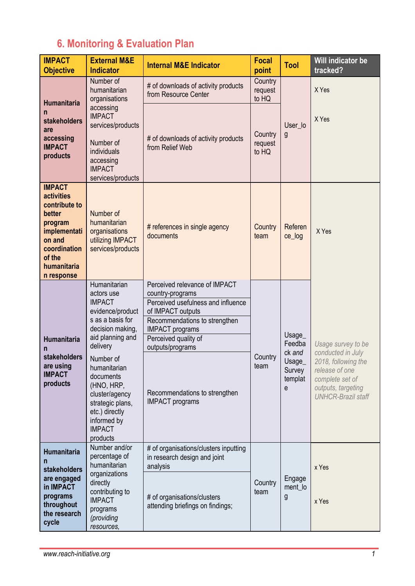## **6. Monitoring & Evaluation Plan**

| <b>IMPACT</b><br><b>Objective</b>                                                                                                                         | <b>External M&amp;E</b><br><b>Indicator</b>                                                                                                                                                                                                                                                         | <b>Internal M&amp;E Indicator</b>                                                                                                                                                                                                                                              | <b>Focal</b><br>point       | <b>Tool</b>                                                    | Will indicator be<br>tracked?                                                                                                                          |
|-----------------------------------------------------------------------------------------------------------------------------------------------------------|-----------------------------------------------------------------------------------------------------------------------------------------------------------------------------------------------------------------------------------------------------------------------------------------------------|--------------------------------------------------------------------------------------------------------------------------------------------------------------------------------------------------------------------------------------------------------------------------------|-----------------------------|----------------------------------------------------------------|--------------------------------------------------------------------------------------------------------------------------------------------------------|
| <b>Humanitaria</b><br>n<br>stakeholders<br>are<br>accessing<br><b>IMPACT</b><br>products                                                                  | Number of<br>humanitarian<br>organisations                                                                                                                                                                                                                                                          | # of downloads of activity products<br>from Resource Center                                                                                                                                                                                                                    | Country<br>request<br>to HQ | User_lo<br>g                                                   | X Yes                                                                                                                                                  |
|                                                                                                                                                           | accessing<br><b>IMPACT</b><br>services/products<br>Number of<br>individuals<br>accessing<br><b>IMPACT</b><br>services/products                                                                                                                                                                      | # of downloads of activity products<br>from Relief Web                                                                                                                                                                                                                         | Country<br>request<br>to HQ |                                                                | X Yes                                                                                                                                                  |
| <b>IMPACT</b><br><b>activities</b><br>contribute to<br>better<br>program<br>implementati<br>on and<br>coordination<br>of the<br>humanitaria<br>n response | Number of<br>humanitarian<br>organisations<br>utilizing IMPACT<br>services/products                                                                                                                                                                                                                 | # references in single agency<br>documents                                                                                                                                                                                                                                     | Country<br>team             | Referen<br>ce_log                                              | X Yes                                                                                                                                                  |
| Humanitaria<br>n<br>stakeholders<br>are using<br><b>IMPACT</b><br>products                                                                                | Humanitarian<br>actors use<br><b>IMPACT</b><br>evidence/product<br>s as a basis for<br>decision making,<br>aid planning and<br>delivery<br>Number of<br>humanitarian<br>documents<br>(HNO, HRP,<br>cluster/agency<br>strategic plans,<br>etc.) directly<br>informed by<br><b>IMPACT</b><br>products | Perceived relevance of IMPACT<br>country-programs<br>Perceived usefulness and influence<br>of IMPACT outputs<br>Recommendations to strengthen<br><b>IMPACT</b> programs<br>Perceived quality of<br>outputs/programs<br>Recommendations to strengthen<br><b>IMPACT</b> programs | Country<br>team             | Usage_<br>Feedba<br>ck and<br>Usage_<br>Survey<br>templat<br>e | Usage survey to be<br>conducted in July<br>2018, following the<br>release of one<br>complete set of<br>outputs, targeting<br><b>UNHCR-Brazil staff</b> |
| Humanitaria<br>n<br><b>stakeholders</b><br>are engaged<br>in IMPACT<br>programs<br>throughout<br>the research<br>cycle                                    | Number and/or<br>percentage of<br>humanitarian<br>organizations<br>directly<br>contributing to<br><b>IMPACT</b><br>programs<br>(providing<br>resources,                                                                                                                                             | # of organisations/clusters inputting<br>in research design and joint<br>analysis<br># of organisations/clusters<br>attending briefings on findings;                                                                                                                           | Country<br>team             | Engage<br>ment_lo<br>g                                         | x Yes<br>x Yes                                                                                                                                         |